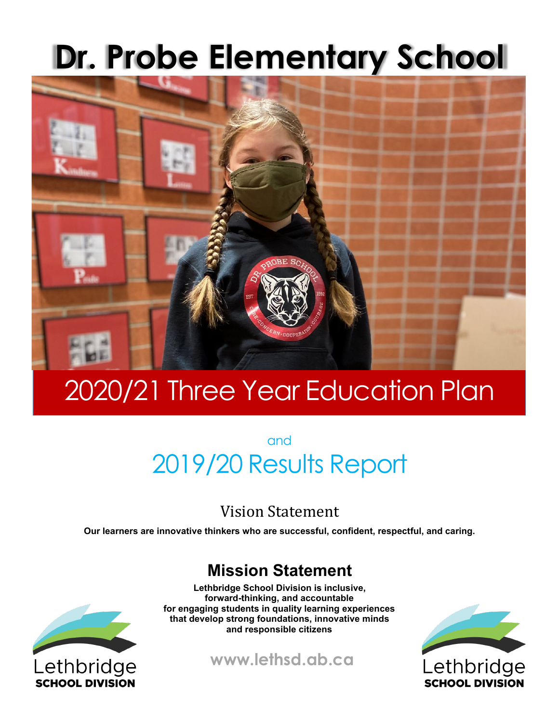# **Dr. Probe Elementary School**



# 2020/21 Three Year Education Plan

and 2019/20 Results Report

## Vision Statement

**Our learners are innovative thinkers who are successful, confident, respectful, and caring.** 

## **Mission Statement**



**Lethbridge School Division is inclusive, forward-thinking, and accountable for engaging students in quality learning experiences that develop strong foundations, innovative minds and responsible citizens**

**www.lethsd.ab.ca**

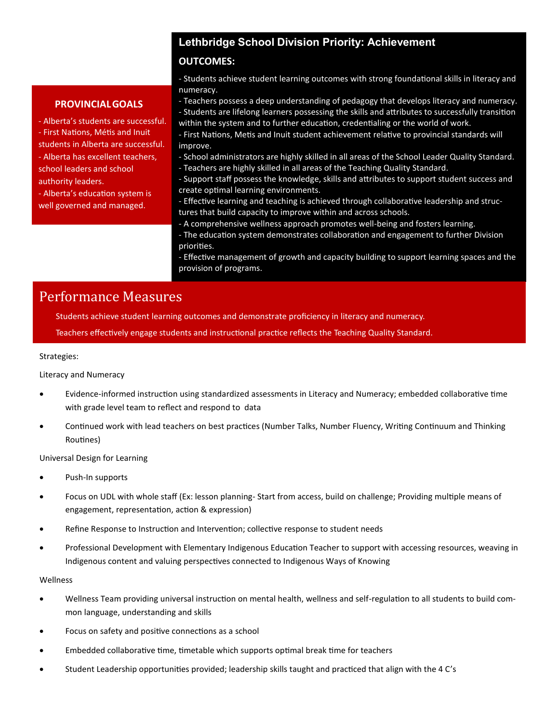## **Lethbridge School Division Priority: Achievement**

#### **OUTCOMES:**

- Students achieve student learning outcomes with strong foundational skills in literacy and numeracy.

#### **PROVINCIALGOALS**

- Alberta's students are successful. - First Nations, Métis and Inuit

students in Alberta are successful. - Alberta has excellent teachers,

school leaders and school authority leaders.

- Alberta's education system is well governed and managed.

# - Teachers possess a deep understanding of pedagogy that develops literacy and numeracy.

- Students are lifelong learners possessing the skills and attributes to successfully transition within the system and to further education, credentialing or the world of work.

- First Nations, Metis and Inuit student achievement relative to provincial standards will improve.

- School administrators are highly skilled in all areas of the School Leader Quality Standard.
- Teachers are highly skilled in all areas of the Teaching Quality Standard.
- Support staff possess the knowledge, skills and attributes to support student success and create optimal learning environments.
- Effective learning and teaching is achieved through collaborative leadership and structures that build capacity to improve within and across schools.
- A comprehensive wellness approach promotes well-being and fosters learning.
- The education system demonstrates collaboration and engagement to further Division priorities.

- Effective management of growth and capacity building to support learning spaces and the provision of programs.

## Performance Measures

Students achieve student learning outcomes and demonstrate proficiency in literacy and numeracy.

Teachers effectively engage students and instructional practice reflects the Teaching Quality Standard.

#### Strategies:

#### Literacy and Numeracy

- Evidence-informed instruction using standardized assessments in Literacy and Numeracy; embedded collaborative time with grade level team to reflect and respond to data
- Continued work with lead teachers on best practices (Number Talks, Number Fluency, Writing Continuum and Thinking Routines)

Universal Design for Learning

- Push-In supports
- Focus on UDL with whole staff (Ex: lesson planning- Start from access, build on challenge; Providing multiple means of engagement, representation, action & expression)
- Refine Response to Instruction and Intervention; collective response to student needs
- Professional Development with Elementary Indigenous Education Teacher to support with accessing resources, weaving in Indigenous content and valuing perspectives connected to Indigenous Ways of Knowing

#### Wellness

- Wellness Team providing universal instruction on mental health, wellness and self-regulation to all students to build common language, understanding and skills
- Focus on safety and positive connections as a school
- Embedded collaborative time, timetable which supports optimal break time for teachers
- Student Leadership opportunities provided; leadership skills taught and practiced that align with the 4 C's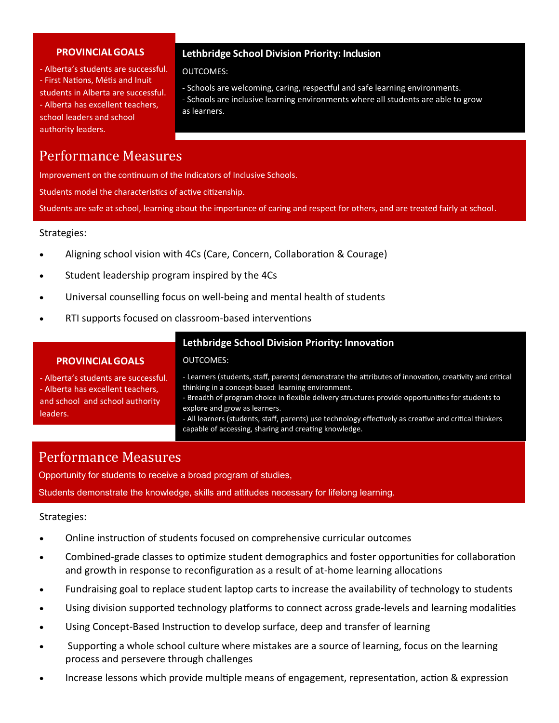#### **PROVINCIALGOALS**

- Alberta's students are successful. - First Nations, Métis and Inuit students in Alberta are successful. - Alberta has excellent teachers, school leaders and school authority leaders.

#### **Lethbridge School Division Priority: Inclusion**

OUTCOMES:

- Schools are welcoming, caring, respectful and safe learning environments. - Schools are inclusive learning environments where all students are able to grow as learners.

## Performance Measures

Improvement on the continuum of the Indicators of Inclusive Schools.

Students model the characteristics of active citizenship.

Students are safe at school, learning about the importance of caring and respect for others, and are treated fairly at school.

#### Strategies:

- Aligning school vision with 4Cs (Care, Concern, Collaboration & Courage)
- Student leadership program inspired by the 4Cs
- Universal counselling focus on well-being and mental health of students

OUTCOMES:

• RTI supports focused on classroom-based interventions

#### **Lethbridge School Division Priority: Innovation**

#### **PROVINCIALGOALS**

- Alberta's students are successful. - Alberta has excellent teachers, and school and school authority leaders.

- Learners (students, staff, parents) demonstrate the attributes of innovation, creativity and critical thinking in a concept-based learning environment.

- Breadth of program choice in flexible delivery structures provide opportunities for students to explore and grow as learners.

- All learners (students, staff, parents) use technology effectively as creative and critical thinkers capable of accessing, sharing and creating knowledge.

### Performance Measures

Opportunity for students to receive a broad program of studies, Students demonstrate the knowledge, skills and attitudes necessary for lifelong learning.

#### Strategies:

- Online instruction of students focused on comprehensive curricular outcomes
- Combined-grade classes to optimize student demographics and foster opportunities for collaboration and growth in response to reconfiguration as a result of at-home learning allocations
- Fundraising goal to replace student laptop carts to increase the availability of technology to students
- Using division supported technology platforms to connect across grade-levels and learning modalities
- Using Concept-Based Instruction to develop surface, deep and transfer of learning
- Supporting a whole school culture where mistakes are a source of learning, focus on the learning process and persevere through challenges
- Increase lessons which provide multiple means of engagement, representation, action & expression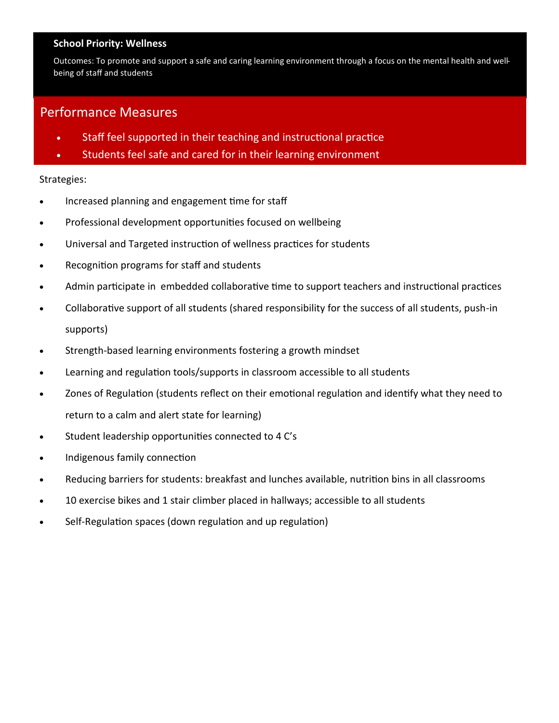#### **School Priority: Wellness**

Outcomes: To promote and support a safe and caring learning environment through a focus on the mental health and wellbeing of staff and students

### Performance Measures

- Staff feel supported in their teaching and instructional practice
- Students feel safe and cared for in their learning environment

#### Strategies:

- Increased planning and engagement time for staff
- Professional development opportunities focused on wellbeing
- Universal and Targeted instruction of wellness practices for students
- Recognition programs for staff and students
- Admin participate in embedded collaborative time to support teachers and instructional practices
- Collaborative support of all students (shared responsibility for the success of all students, push-in supports)
- Strength-based learning environments fostering a growth mindset
- Learning and regulation tools/supports in classroom accessible to all students
- Zones of Regulation (students reflect on their emotional regulation and identify what they need to return to a calm and alert state for learning)
- Student leadership opportunities connected to 4 C's
- Indigenous family connection
- Reducing barriers for students: breakfast and lunches available, nutrition bins in all classrooms
- 10 exercise bikes and 1 stair climber placed in hallways; accessible to all students
- Self-Regulation spaces (down regulation and up regulation)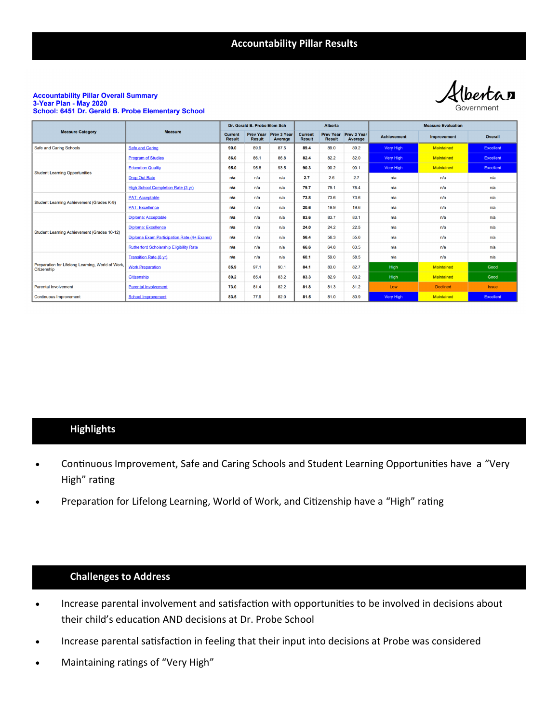**Accountability Pillar Results**

*<u>Ibertan</u>* 

#### **Accountability Pillar Overall Summary** 3-Year Plan - May 2020 School: 6451 Dr. Gerald B. Probe Elementary School

| <b>Measure Category</b><br>Safe and Caring Schools<br><b>Student Learning Opportunities</b> | <b>Measure</b>                                 | Dr. Gerald B. Probe Elem Sch    |                                   |                               | <b>Alberta</b>                  |                                   |                        | <b>Measure Evaluation</b> |                                                                                              |              |
|---------------------------------------------------------------------------------------------|------------------------------------------------|---------------------------------|-----------------------------------|-------------------------------|---------------------------------|-----------------------------------|------------------------|---------------------------|----------------------------------------------------------------------------------------------|--------------|
|                                                                                             |                                                | <b>Current</b><br><b>Result</b> | <b>Prev Year</b><br><b>Result</b> | <b>Prev 3 Year</b><br>Average | <b>Current</b><br><b>Result</b> | <b>Prev Year</b><br><b>Result</b> | Prev 3 Year<br>Average | <b>Achievement</b>        | <b>Improvement</b>                                                                           | Overall      |
|                                                                                             | <b>Safe and Caring</b>                         | 90.0                            | 89.9                              | 87.5                          | 89.4                            | 89.0                              | 89.2                   | Very High                 | <b>Maintained</b>                                                                            | Excellent    |
|                                                                                             | <b>Program of Studies</b>                      | 86.0                            | 86.1                              | 86.8                          | 82.4                            | 82.2                              | 82.0                   | Very High                 | <b>Maintained</b>                                                                            | Excellent    |
|                                                                                             | <b>Education Quality</b>                       | 95.0                            | 95.8                              | 93.5                          | 90.3                            | 90.2                              | 90.1                   | Very High                 | <b>Maintained</b>                                                                            | Excellent    |
|                                                                                             | <b>Drop Out Rate</b>                           | n/a                             | n/a                               | n/a                           | 2.7                             | 2.6                               | 2.7                    | n/a                       | n/a                                                                                          | n/a          |
|                                                                                             | High School Completion Rate (3 yr)             | n/a                             | n/a                               | n/a                           | 79.7                            | 79.1                              | 78.4                   | n/a                       | n/a                                                                                          | n/a          |
| Student Learning Achievement (Grades K-9)                                                   | <b>PAT: Acceptable</b>                         | n/a                             | n/a                               | n/a                           | 73.8                            | 73.6                              | 73.6                   | n/a                       | n/a                                                                                          | n/a          |
|                                                                                             | <b>PAT: Excellence</b>                         | n/a                             | n/a                               | n/a                           | 20.6                            | 19.9                              | 19.6                   | n/a                       | n/a                                                                                          | n/a          |
| Student Learning Achievement (Grades 10-12)                                                 | Diploma: Acceptable                            | n/a                             | n/a                               | n/a                           | 83.6                            | 83.7                              | 83.1                   | n/a                       | n/a                                                                                          | n/a          |
|                                                                                             | <b>Diploma: Excellence</b>                     | n/a                             | n/a                               | n/a                           | 24.0                            | 24.2                              | 22.5                   | n/a                       | n/a                                                                                          | n/a          |
|                                                                                             | Diploma Exam Participation Rate (4+ Exams)     | n/a                             | n/a                               | n/a                           | 56.4                            | 56.3                              | 55.6                   | n/a                       | n/a                                                                                          | n/a          |
|                                                                                             | <b>Rutherford Scholarship Eligibility Rate</b> | n/a                             | n/a                               | n/a                           | 66.6                            | 64.8                              | 63.5                   | n/a                       | n/a<br>n/a<br><b>Maintained</b><br><b>Maintained</b><br><b>Declined</b><br><b>Maintained</b> | n/a          |
| Preparation for Lifelong Learning, World of Work,<br>Citizenship                            | <b>Transition Rate (6 yr)</b>                  | n/a                             | n/a                               | n/a                           | 60.1                            | 59.0                              | 58.5                   | n/a                       |                                                                                              | n/a          |
|                                                                                             | <b>Work Preparation</b>                        | 85.9                            | 97.1                              | 90.1                          | 84.1                            | 83.0                              | 82.7                   | High                      |                                                                                              | Good         |
|                                                                                             | <b>Citizenship</b>                             | 80.2                            | 85.4                              | 83.2                          | 83.3                            | 82.9                              | 83.2                   | High                      |                                                                                              | Good         |
| <b>Parental Involvement</b>                                                                 | <b>Parental Involvement</b>                    | 73.0                            | 81.4                              | 82.2                          | 81.8                            | 81.3                              | 81.2                   | Low                       |                                                                                              | <b>Issue</b> |
| <b>Continuous Improvement</b>                                                               | <b>School Improvement</b>                      | 83.5                            | 77.9                              | 82.0                          | 81.5                            | 81.0                              | 80.9                   | Very High                 |                                                                                              | Excellent    |

#### **Highlights**

- Continuous Improvement, Safe and Caring Schools and Student Learning Opportunities have a "Very High" rating
- Preparation for Lifelong Learning, World of Work, and Citizenship have a "High" rating

#### **Challenges to Address**

- Increase parental involvement and satisfaction with opportunities to be involved in decisions about their child's education AND decisions at Dr. Probe School
- Increase parental satisfaction in feeling that their input into decisions at Probe was considered
- Maintaining ratings of "Very High"